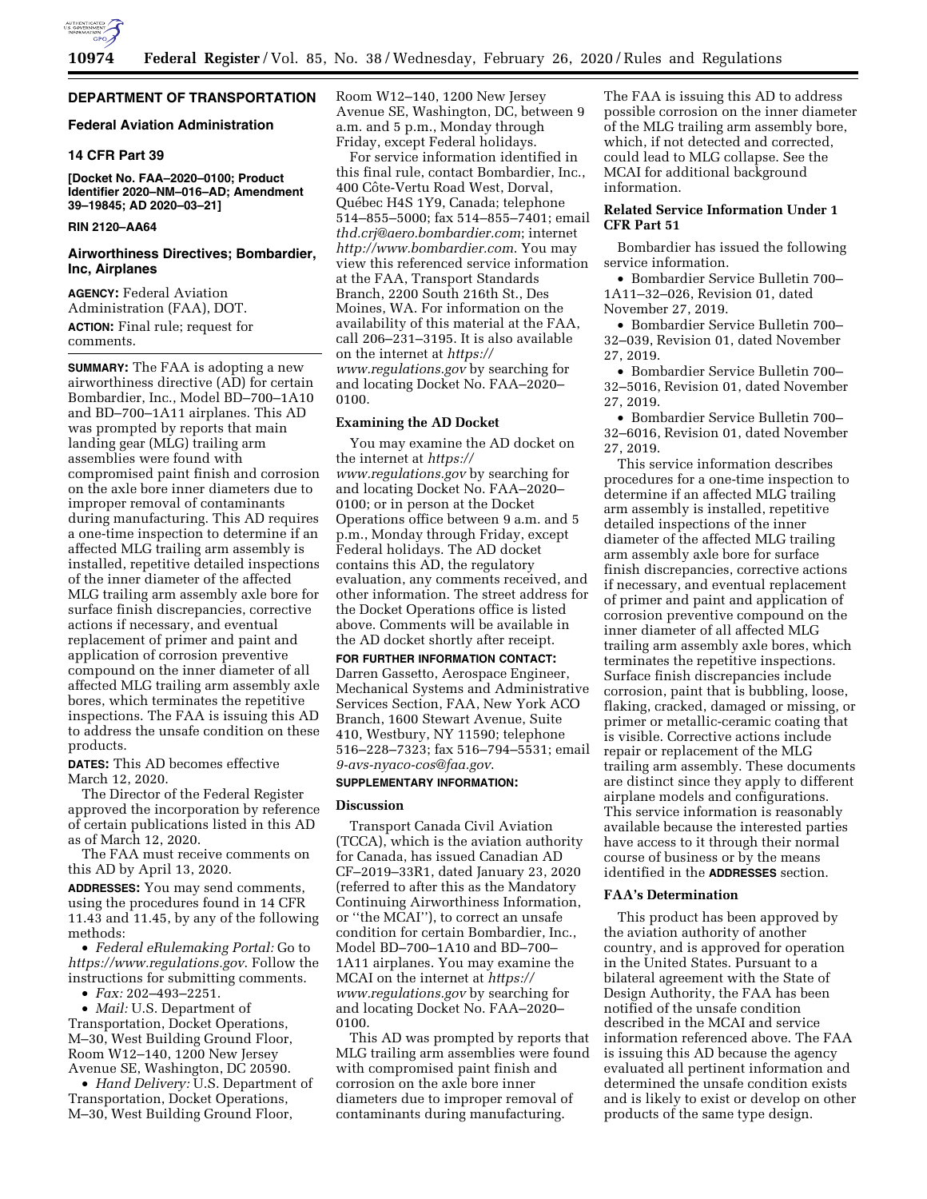

### **DEPARTMENT OF TRANSPORTATION**

# **Federal Aviation Administration**

### **14 CFR Part 39**

**[Docket No. FAA–2020–0100; Product Identifier 2020–NM–016–AD; Amendment 39–19845; AD 2020–03–21]** 

# **RIN 2120–AA64**

### **Airworthiness Directives; Bombardier, Inc, Airplanes**

**AGENCY:** Federal Aviation Administration (FAA), DOT. **ACTION:** Final rule; request for comments.

**SUMMARY:** The FAA is adopting a new airworthiness directive (AD) for certain Bombardier, Inc., Model BD–700–1A10 and BD–700–1A11 airplanes. This AD was prompted by reports that main landing gear (MLG) trailing arm assemblies were found with compromised paint finish and corrosion on the axle bore inner diameters due to improper removal of contaminants during manufacturing. This AD requires a one-time inspection to determine if an affected MLG trailing arm assembly is installed, repetitive detailed inspections of the inner diameter of the affected MLG trailing arm assembly axle bore for surface finish discrepancies, corrective actions if necessary, and eventual replacement of primer and paint and application of corrosion preventive compound on the inner diameter of all affected MLG trailing arm assembly axle bores, which terminates the repetitive inspections. The FAA is issuing this AD to address the unsafe condition on these products.

**DATES:** This AD becomes effective March 12, 2020.

The Director of the Federal Register approved the incorporation by reference of certain publications listed in this AD as of March 12, 2020.

The FAA must receive comments on this AD by April 13, 2020.

**ADDRESSES:** You may send comments, using the procedures found in 14 CFR 11.43 and 11.45, by any of the following methods:

• *Federal eRulemaking Portal:* Go to *<https://www.regulations.gov>*. Follow the instructions for submitting comments.

• *Fax:* 202–493–2251.

• *Mail:* U.S. Department of Transportation, Docket Operations, M–30, West Building Ground Floor, Room W12–140, 1200 New Jersey Avenue SE, Washington, DC 20590.

• *Hand Delivery:* U.S. Department of Transportation, Docket Operations, M–30, West Building Ground Floor,

Room W12–140, 1200 New Jersey Avenue SE, Washington, DC, between 9 a.m. and 5 p.m., Monday through Friday, except Federal holidays.

For service information identified in this final rule, contact Bombardier, Inc., 400 Côte-Vertu Road West, Dorval, Québec H4S 1Y9, Canada; telephone 514–855–5000; fax 514–855–7401; email *[thd.crj@aero.bombardier.com](mailto:thd.crj@aero.bombardier.com)*; internet *<http://www.bombardier.com>*. You may view this referenced service information at the FAA, Transport Standards Branch, 2200 South 216th St., Des Moines, WA. For information on the availability of this material at the FAA, call 206–231–3195. It is also available on the internet at *[https://](https://www.regulations.gov) [www.regulations.gov](https://www.regulations.gov)* by searching for and locating Docket No. FAA–2020– 0100.

### **Examining the AD Docket**

You may examine the AD docket on the internet at *[https://](https://www.regulations.gov) [www.regulations.gov](https://www.regulations.gov)* by searching for and locating Docket No. FAA–2020– 0100; or in person at the Docket Operations office between 9 a.m. and 5 p.m., Monday through Friday, except Federal holidays. The AD docket contains this AD, the regulatory evaluation, any comments received, and other information. The street address for the Docket Operations office is listed above. Comments will be available in the AD docket shortly after receipt.

**FOR FURTHER INFORMATION CONTACT:**  Darren Gassetto, Aerospace Engineer, Mechanical Systems and Administrative Services Section, FAA, New York ACO Branch, 1600 Stewart Avenue, Suite 410, Westbury, NY 11590; telephone 516–228–7323; fax 516–794–5531; email *[9-avs-nyaco-cos@faa.gov](mailto:9-avs-nyaco-cos@faa.gov)*.

### **SUPPLEMENTARY INFORMATION:**

### **Discussion**

Transport Canada Civil Aviation (TCCA), which is the aviation authority for Canada, has issued Canadian AD CF–2019–33R1, dated January 23, 2020 (referred to after this as the Mandatory Continuing Airworthiness Information, or ''the MCAI''), to correct an unsafe condition for certain Bombardier, Inc., Model BD–700–1A10 and BD–700– 1A11 airplanes. You may examine the MCAI on the internet at *[https://](https://www.regulations.gov) [www.regulations.gov](https://www.regulations.gov)* by searching for and locating Docket No. FAA–2020– 0100.

This AD was prompted by reports that MLG trailing arm assemblies were found with compromised paint finish and corrosion on the axle bore inner diameters due to improper removal of contaminants during manufacturing.

The FAA is issuing this AD to address possible corrosion on the inner diameter of the MLG trailing arm assembly bore, which, if not detected and corrected, could lead to MLG collapse. See the MCAI for additional background information.

### **Related Service Information Under 1 CFR Part 51**

Bombardier has issued the following service information.

• Bombardier Service Bulletin 700– 1A11–32–026, Revision 01, dated November 27, 2019.

• Bombardier Service Bulletin 700– 32–039, Revision 01, dated November 27, 2019.

• Bombardier Service Bulletin 700– 32–5016, Revision 01, dated November 27, 2019.

• Bombardier Service Bulletin 700– 32–6016, Revision 01, dated November 27, 2019.

This service information describes procedures for a one-time inspection to determine if an affected MLG trailing arm assembly is installed, repetitive detailed inspections of the inner diameter of the affected MLG trailing arm assembly axle bore for surface finish discrepancies, corrective actions if necessary, and eventual replacement of primer and paint and application of corrosion preventive compound on the inner diameter of all affected MLG trailing arm assembly axle bores, which terminates the repetitive inspections. Surface finish discrepancies include corrosion, paint that is bubbling, loose, flaking, cracked, damaged or missing, or primer or metallic-ceramic coating that is visible. Corrective actions include repair or replacement of the MLG trailing arm assembly. These documents are distinct since they apply to different airplane models and configurations. This service information is reasonably available because the interested parties have access to it through their normal course of business or by the means identified in the **ADDRESSES** section.

#### **FAA's Determination**

This product has been approved by the aviation authority of another country, and is approved for operation in the United States. Pursuant to a bilateral agreement with the State of Design Authority, the FAA has been notified of the unsafe condition described in the MCAI and service information referenced above. The FAA is issuing this AD because the agency evaluated all pertinent information and determined the unsafe condition exists and is likely to exist or develop on other products of the same type design.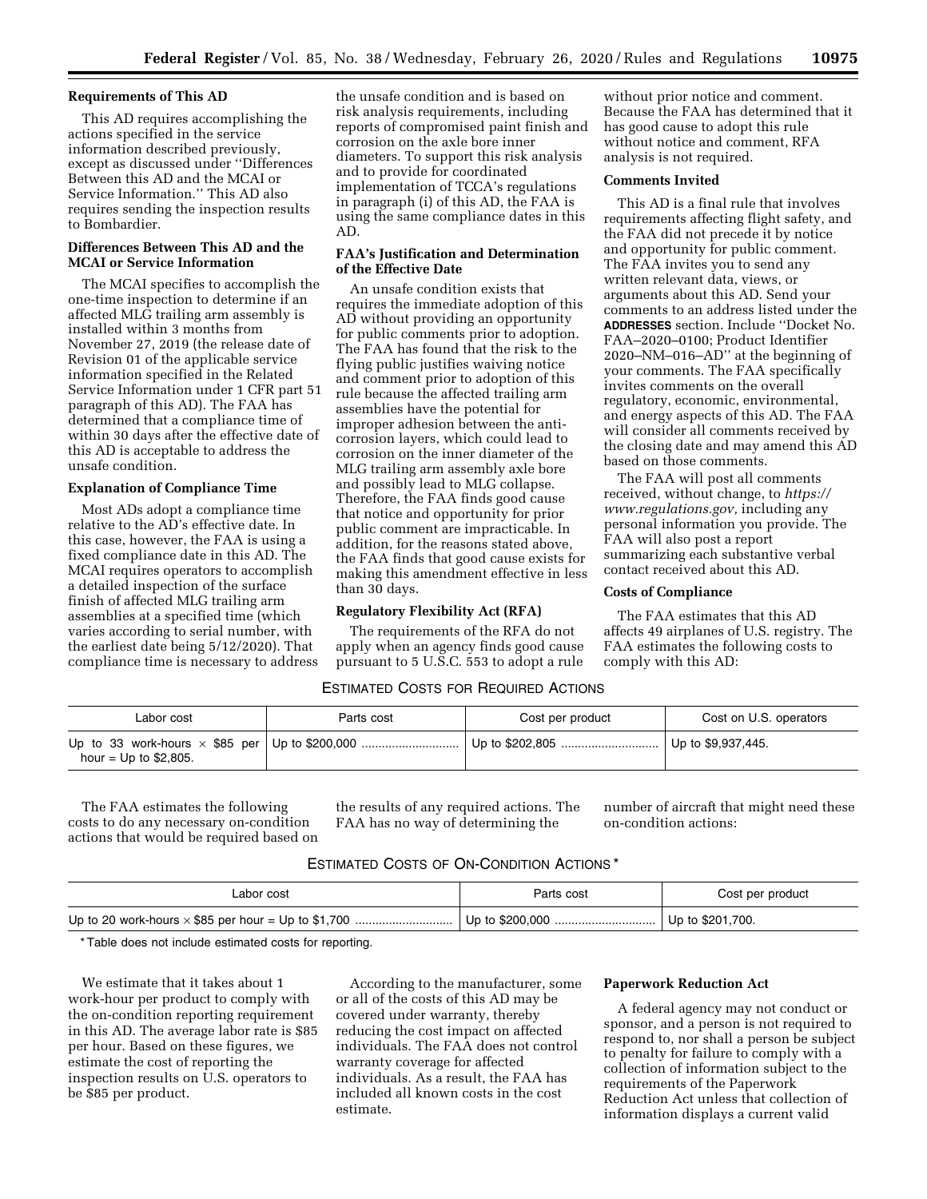#### **Requirements of This AD**

This AD requires accomplishing the actions specified in the service information described previously, except as discussed under ''Differences Between this AD and the MCAI or Service Information.'' This AD also requires sending the inspection results to Bombardier.

# **Differences Between This AD and the MCAI or Service Information**

The MCAI specifies to accomplish the one-time inspection to determine if an affected MLG trailing arm assembly is installed within 3 months from November 27, 2019 (the release date of Revision 01 of the applicable service information specified in the Related Service Information under 1 CFR part 51 paragraph of this AD). The FAA has determined that a compliance time of within 30 days after the effective date of this AD is acceptable to address the unsafe condition.

### **Explanation of Compliance Time**

Most ADs adopt a compliance time relative to the AD's effective date. In this case, however, the FAA is using a fixed compliance date in this AD. The MCAI requires operators to accomplish a detailed inspection of the surface finish of affected MLG trailing arm assemblies at a specified time (which varies according to serial number, with the earliest date being 5/12/2020). That compliance time is necessary to address the unsafe condition and is based on risk analysis requirements, including reports of compromised paint finish and corrosion on the axle bore inner diameters. To support this risk analysis and to provide for coordinated implementation of TCCA's regulations in paragraph (i) of this AD, the FAA is using the same compliance dates in this AD.

#### **FAA's Justification and Determination of the Effective Date**

An unsafe condition exists that requires the immediate adoption of this AD without providing an opportunity for public comments prior to adoption. The FAA has found that the risk to the flying public justifies waiving notice and comment prior to adoption of this rule because the affected trailing arm assemblies have the potential for improper adhesion between the anticorrosion layers, which could lead to corrosion on the inner diameter of the MLG trailing arm assembly axle bore and possibly lead to MLG collapse. Therefore, the FAA finds good cause that notice and opportunity for prior public comment are impracticable. In addition, for the reasons stated above, the FAA finds that good cause exists for making this amendment effective in less than 30 days.

### **Regulatory Flexibility Act (RFA)**

The requirements of the RFA do not apply when an agency finds good cause pursuant to 5 U.S.C. 553 to adopt a rule

# ESTIMATED COSTS FOR REQUIRED ACTIONS

| Labor cost              | Parts cost | Cost per product | Cost on U.S. operators |
|-------------------------|------------|------------------|------------------------|
| hour = $Up$ to \$2,805. |            |                  | Up to \$9,937,445.     |

The FAA estimates the following costs to do any necessary on-condition actions that would be required based on the results of any required actions. The FAA has no way of determining the

number of aircraft that might need these on-condition actions:

### ESTIMATED COSTS OF ON-CONDITION ACTIONS \*

| Labor cost | Parts cost | Cost per product |
|------------|------------|------------------|
|            |            | Up to \$201,700. |

\* Table does not include estimated costs for reporting.

We estimate that it takes about 1 work-hour per product to comply with the on-condition reporting requirement in this AD. The average labor rate is \$85 per hour. Based on these figures, we estimate the cost of reporting the inspection results on U.S. operators to be \$85 per product.

According to the manufacturer, some or all of the costs of this AD may be covered under warranty, thereby reducing the cost impact on affected individuals. The FAA does not control warranty coverage for affected individuals. As a result, the FAA has included all known costs in the cost estimate.

### **Paperwork Reduction Act**

A federal agency may not conduct or sponsor, and a person is not required to respond to, nor shall a person be subject to penalty for failure to comply with a collection of information subject to the requirements of the Paperwork Reduction Act unless that collection of information displays a current valid

without prior notice and comment. Because the FAA has determined that it has good cause to adopt this rule without notice and comment, RFA analysis is not required.

### **Comments Invited**

This AD is a final rule that involves requirements affecting flight safety, and the FAA did not precede it by notice and opportunity for public comment. The FAA invites you to send any written relevant data, views, or arguments about this AD. Send your comments to an address listed under the **ADDRESSES** section. Include ''Docket No. FAA–2020–0100; Product Identifier 2020–NM–016–AD'' at the beginning of your comments. The FAA specifically invites comments on the overall regulatory, economic, environmental, and energy aspects of this AD. The FAA will consider all comments received by the closing date and may amend this AD based on those comments.

The FAA will post all comments received, without change, to *[https://](https://www.regulations.gov) [www.regulations.gov,](https://www.regulations.gov)* including any personal information you provide. The FAA will also post a report summarizing each substantive verbal contact received about this AD.

#### **Costs of Compliance**

The FAA estimates that this AD affects 49 airplanes of U.S. registry. The FAA estimates the following costs to comply with this AD: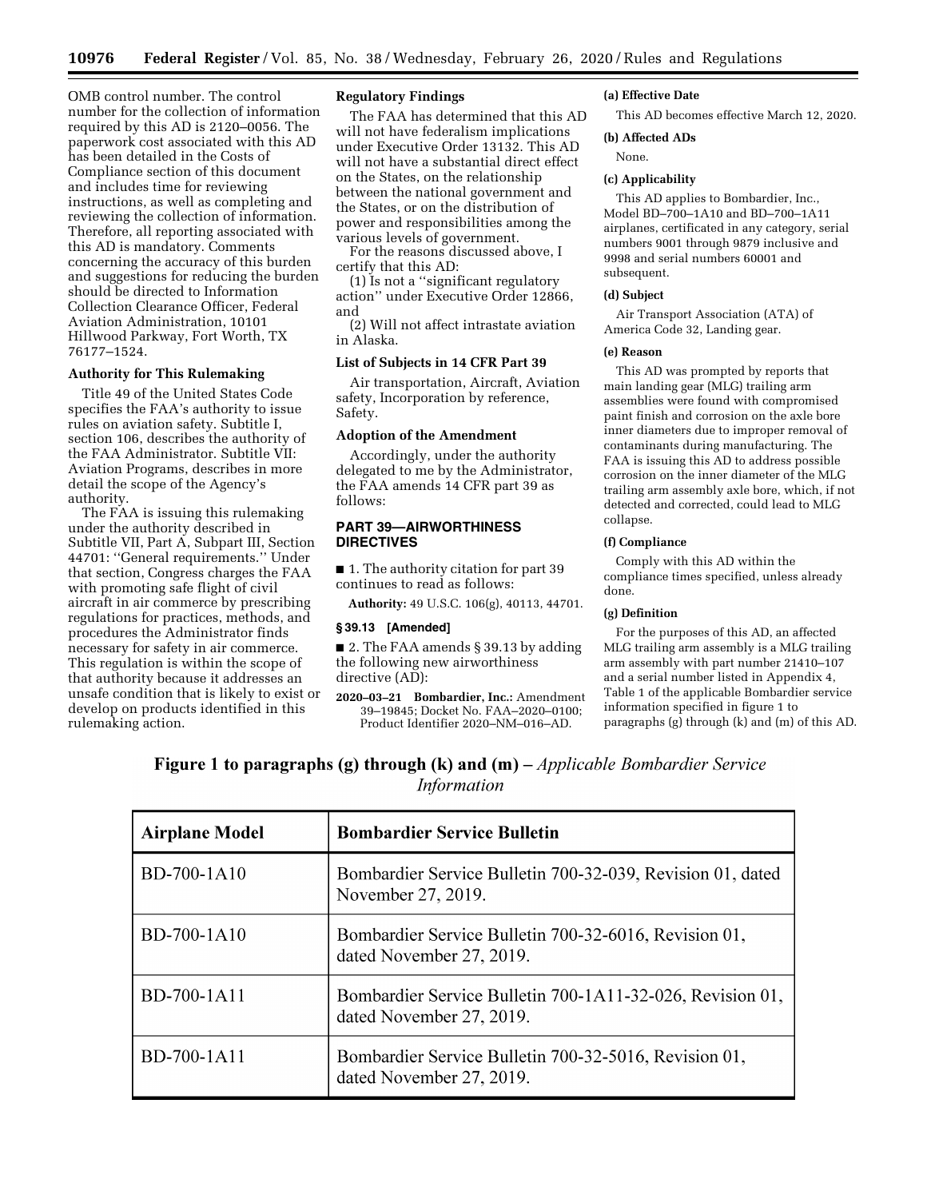OMB control number. The control number for the collection of information required by this AD is 2120–0056. The paperwork cost associated with this AD has been detailed in the Costs of Compliance section of this document and includes time for reviewing instructions, as well as completing and reviewing the collection of information. Therefore, all reporting associated with this AD is mandatory. Comments concerning the accuracy of this burden and suggestions for reducing the burden should be directed to Information Collection Clearance Officer, Federal Aviation Administration, 10101 Hillwood Parkway, Fort Worth, TX 76177–1524.

# **Authority for This Rulemaking**

Title 49 of the United States Code specifies the FAA's authority to issue rules on aviation safety. Subtitle I, section 106, describes the authority of the FAA Administrator. Subtitle VII: Aviation Programs, describes in more detail the scope of the Agency's authority.

The FAA is issuing this rulemaking under the authority described in Subtitle VII, Part A, Subpart III, Section 44701: ''General requirements.'' Under that section, Congress charges the FAA with promoting safe flight of civil aircraft in air commerce by prescribing regulations for practices, methods, and procedures the Administrator finds necessary for safety in air commerce. This regulation is within the scope of that authority because it addresses an unsafe condition that is likely to exist or develop on products identified in this rulemaking action.

### **Regulatory Findings**

The FAA has determined that this AD will not have federalism implications under Executive Order 13132. This AD will not have a substantial direct effect on the States, on the relationship between the national government and the States, or on the distribution of power and responsibilities among the various levels of government.

For the reasons discussed above, I certify that this AD:

(1) Is not a ''significant regulatory action'' under Executive Order 12866, and

(2) Will not affect intrastate aviation in Alaska.

#### **List of Subjects in 14 CFR Part 39**

Air transportation, Aircraft, Aviation safety, Incorporation by reference, Safety.

### **Adoption of the Amendment**

Accordingly, under the authority delegated to me by the Administrator, the FAA amends 14 CFR part 39 as follows:

### **PART 39—AIRWORTHINESS DIRECTIVES**

■ 1. The authority citation for part 39 continues to read as follows:

**Authority:** 49 U.S.C. 106(g), 40113, 44701.

### **§ 39.13 [Amended]**

■ 2. The FAA amends § 39.13 by adding the following new airworthiness directive (AD):

**2020–03–21 Bombardier, Inc.:** Amendment 39–19845; Docket No. FAA–2020–0100; Product Identifier 2020–NM–016–AD.

#### **(a) Effective Date**

This AD becomes effective March 12, 2020.

#### **(b) Affected ADs**

None.

### **(c) Applicability**

This AD applies to Bombardier, Inc., Model BD–700–1A10 and BD–700–1A11 airplanes, certificated in any category, serial numbers 9001 through 9879 inclusive and 9998 and serial numbers 60001 and subsequent.

### **(d) Subject**

Air Transport Association (ATA) of America Code 32, Landing gear.

#### **(e) Reason**

This AD was prompted by reports that main landing gear (MLG) trailing arm assemblies were found with compromised paint finish and corrosion on the axle bore inner diameters due to improper removal of contaminants during manufacturing. The FAA is issuing this AD to address possible corrosion on the inner diameter of the MLG trailing arm assembly axle bore, which, if not detected and corrected, could lead to MLG collapse.

#### **(f) Compliance**

Comply with this AD within the compliance times specified, unless already done.

## **(g) Definition**

For the purposes of this AD, an affected MLG trailing arm assembly is a MLG trailing arm assembly with part number 21410–107 and a serial number listed in Appendix 4, Table 1 of the applicable Bombardier service information specified in figure 1 to paragraphs (g) through (k) and (m) of this AD.

# **Figure 1 to paragraphs (g) through (k) and (m)** – *Applicable Bombardier Service* **Information**

| <b>Airplane Model</b> | <b>Bombardier Service Bulletin</b>                                                    |
|-----------------------|---------------------------------------------------------------------------------------|
| BD-700-1A10           | Bombardier Service Bulletin 700-32-039, Revision 01, dated<br>November 27, 2019.      |
| BD-700-1A10           | Bombardier Service Bulletin 700-32-6016, Revision 01,<br>dated November 27, 2019.     |
| BD-700-1A11           | Bombardier Service Bulletin 700-1A11-32-026, Revision 01,<br>dated November 27, 2019. |
| BD-700-1A11           | Bombardier Service Bulletin 700-32-5016, Revision 01,<br>dated November 27, 2019.     |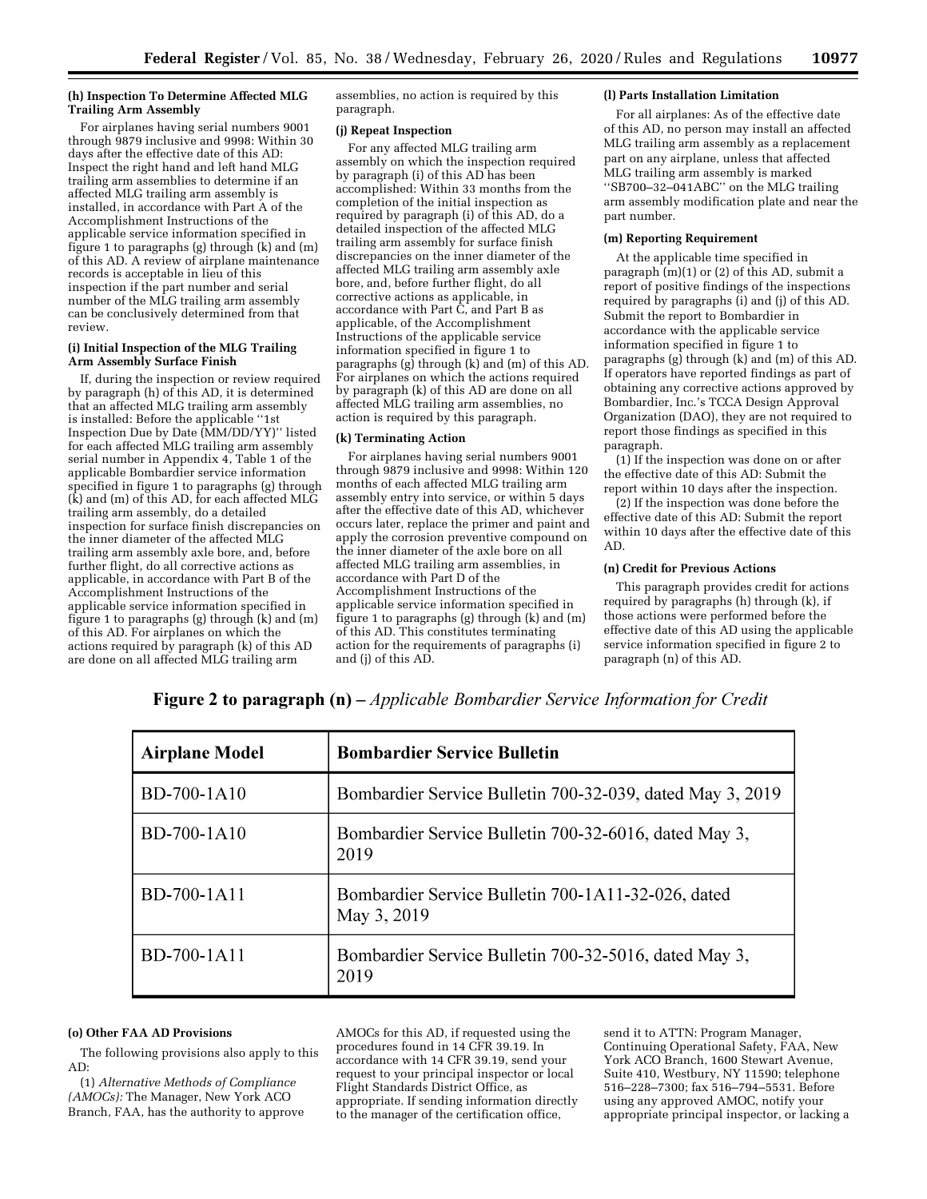#### **(h) Inspection To Determine Affected MLG Trailing Arm Assembly**

For airplanes having serial numbers 9001 through 9879 inclusive and 9998: Within 30 days after the effective date of this AD: Inspect the right hand and left hand MLG trailing arm assemblies to determine if an affected MLG trailing arm assembly is installed, in accordance with Part A of the Accomplishment Instructions of the applicable service information specified in figure 1 to paragraphs (g) through (k) and (m) of this AD. A review of airplane maintenance records is acceptable in lieu of this inspection if the part number and serial number of the MLG trailing arm assembly can be conclusively determined from that review.

### **(i) Initial Inspection of the MLG Trailing Arm Assembly Surface Finish**

If, during the inspection or review required by paragraph (h) of this AD, it is determined that an affected MLG trailing arm assembly is installed: Before the applicable ''1st Inspection Due by Date (MM/DD/YY)'' listed for each affected MLG trailing arm assembly serial number in Appendix 4, Table 1 of the applicable Bombardier service information specified in figure 1 to paragraphs (g) through (k) and (m) of this AD, for each affected MLG trailing arm assembly, do a detailed inspection for surface finish discrepancies on the inner diameter of the affected MLG trailing arm assembly axle bore, and, before further flight, do all corrective actions as applicable, in accordance with Part B of the Accomplishment Instructions of the applicable service information specified in figure 1 to paragraphs  $(g)$  through  $(k)$  and  $(m)$ of this AD. For airplanes on which the actions required by paragraph (k) of this AD are done on all affected MLG trailing arm

assemblies, no action is required by this paragraph.

### **(j) Repeat Inspection**

For any affected MLG trailing arm assembly on which the inspection required by paragraph (i) of this AD has been accomplished: Within 33 months from the completion of the initial inspection as required by paragraph (i) of this AD, do a detailed inspection of the affected MLG trailing arm assembly for surface finish discrepancies on the inner diameter of the affected MLG trailing arm assembly axle bore, and, before further flight, do all corrective actions as applicable, in accordance with Part C, and Part B as applicable, of the Accomplishment Instructions of the applicable service information specified in figure 1 to paragraphs (g) through (k) and (m) of this AD. For airplanes on which the actions required by paragraph (k) of this AD are done on all affected MLG trailing arm assemblies, no action is required by this paragraph.

### **(k) Terminating Action**

For airplanes having serial numbers 9001 through 9879 inclusive and 9998: Within 120 months of each affected MLG trailing arm assembly entry into service, or within 5 days after the effective date of this AD, whichever occurs later, replace the primer and paint and apply the corrosion preventive compound on the inner diameter of the axle bore on all affected MLG trailing arm assemblies, in accordance with Part D of the Accomplishment Instructions of the applicable service information specified in figure 1 to paragraphs (g) through (k) and (m) of this AD. This constitutes terminating action for the requirements of paragraphs (i) and (j) of this AD.

### **(l) Parts Installation Limitation**

For all airplanes: As of the effective date of this AD, no person may install an affected MLG trailing arm assembly as a replacement part on any airplane, unless that affected MLG trailing arm assembly is marked ''SB700–32–041ABC'' on the MLG trailing arm assembly modification plate and near the part number.

### **(m) Reporting Requirement**

At the applicable time specified in paragraph (m)(1) or (2) of this AD, submit a report of positive findings of the inspections required by paragraphs (i) and (j) of this AD. Submit the report to Bombardier in accordance with the applicable service information specified in figure 1 to paragraphs (g) through (k) and (m) of this AD. If operators have reported findings as part of obtaining any corrective actions approved by Bombardier, Inc.'s TCCA Design Approval Organization (DAO), they are not required to report those findings as specified in this paragraph.

(1) If the inspection was done on or after the effective date of this AD: Submit the report within 10 days after the inspection.

(2) If the inspection was done before the effective date of this AD: Submit the report within 10 days after the effective date of this AD.

### **(n) Credit for Previous Actions**

This paragraph provides credit for actions required by paragraphs (h) through (k), if those actions were performed before the effective date of this AD using the applicable service information specified in figure 2 to paragraph (n) of this AD.

| <b>Airplane Model</b> | <b>Bombardier Service Bulletin</b>                                |
|-----------------------|-------------------------------------------------------------------|
| BD-700-1A10           | Bombardier Service Bulletin 700-32-039, dated May 3, 2019         |
| BD-700-1A10           | Bombardier Service Bulletin 700-32-6016, dated May 3,<br>2019     |
| BD-700-1A11           | Bombardier Service Bulletin 700-1A11-32-026, dated<br>May 3, 2019 |
| BD-700-1A11           | Bombardier Service Bulletin 700-32-5016, dated May 3,<br>2019     |

**Figure 2 to paragraph (n)** - Applicable Bombardier Service Information for Credit

### **(o) Other FAA AD Provisions**

The following provisions also apply to this AD:

(1) *Alternative Methods of Compliance (AMOCs):* The Manager, New York ACO Branch, FAA, has the authority to approve

AMOCs for this AD, if requested using the procedures found in 14 CFR 39.19. In accordance with 14 CFR 39.19, send your request to your principal inspector or local Flight Standards District Office, as appropriate. If sending information directly to the manager of the certification office,

send it to ATTN: Program Manager, Continuing Operational Safety, FAA, New York ACO Branch, 1600 Stewart Avenue, Suite 410, Westbury, NY 11590; telephone 516–228–7300; fax 516–794–5531. Before using any approved AMOC, notify your appropriate principal inspector, or lacking a